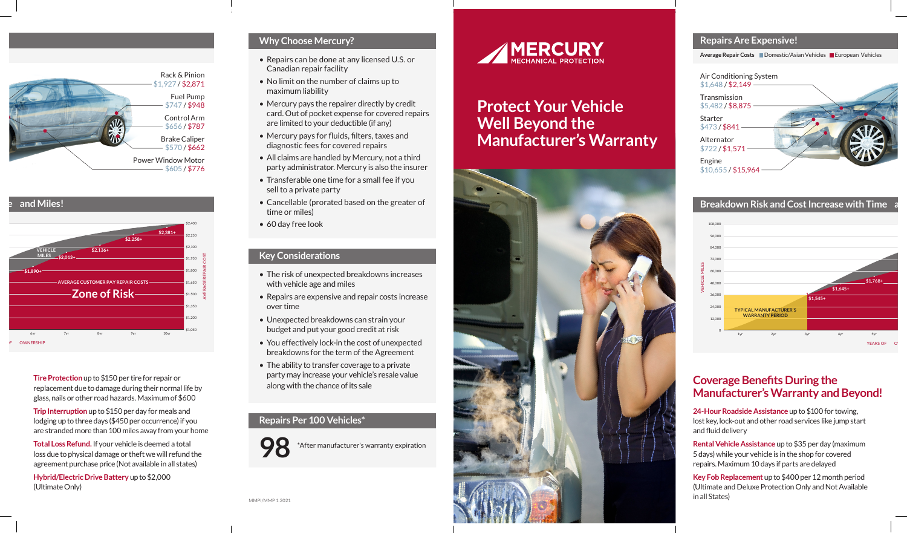# **Protect Your Vehicle Well Beyond the Manufacturer's Warranty**



### **Why Choose Mercury?**

- Repairs can be done at any licensed U.S. or Canadian repair facility
- No limit on the number of claims up to maximum liability
- Mercury pays the repairer directly by credit card. Out of pocket expense for covered repairs are limited to your deductible (if any)
- Mercury pays for fluids, filters, taxes and diagnostic fees for covered repairs
- All claims are handled by Mercury, not a third party administrator. Mercury is also the insurer
- Transferable one time for a small fee if you sell to a private party
- Cancellable (prorated based on the greater of time or miles)
- 60 day free look

### **Key Considerations**

- The risk of unexpected breakdowns increases with vehicle age and miles
- Repairs are expensive and repair costs increase over time
- Unexpected breakdowns can strain your budget and put your good credit at risk
- You effectively lock-in the cost of unexpected breakdowns for the term of the Agreement
- The ability to transfer coverage to a private party may increase your vehicle's resale value along with the chance of its sale

### **Repairs Per 100 Vehicles\***



**98** \*After manufacturer's warranty expiration





### **Breakdown Risk and Cost Increase with Time**

### **Repairs Are Expensive!**

**Average Repair Costs** Domestic/Asian Vehicles European Vehicles





**Breakdown Risk and Cost Increase with Time and Miles!**

**Tire Protection** up to \$150 per tire for repair or replacement due to damage during their normal life by glass, nails or other road hazards. Maximum of \$600

**Trip Interruption** up to \$150 per day for meals and lodging up to three days (\$450 per occurrence) if you are stranded more than 100 miles away from your home

**Total Loss Refund.** If your vehicle is deemed a total loss due to physical damage or theft we will refund the agreement purchase price (Not available in all states)

**Hybrid/Electric Drive Battery** up to \$2,000 (Ultimate Only)

**24-Hour Roadside Assistance** up to \$100 for towing, lost key, lock-out and other road services like jump start and fluid delivery

**Rental Vehicle Assistance** up to \$35 per day (maximum 5 days) while your vehicle is in the shop for covered repairs. Maximum 10 days if parts are delayed

**Key Fob Replacement** up to \$400 per 12 month period (Ultimate and Deluxe Protection Only and Not Available in all States)

## **Coverage Benefits During the Manufacturer's Warranty and Beyond!**